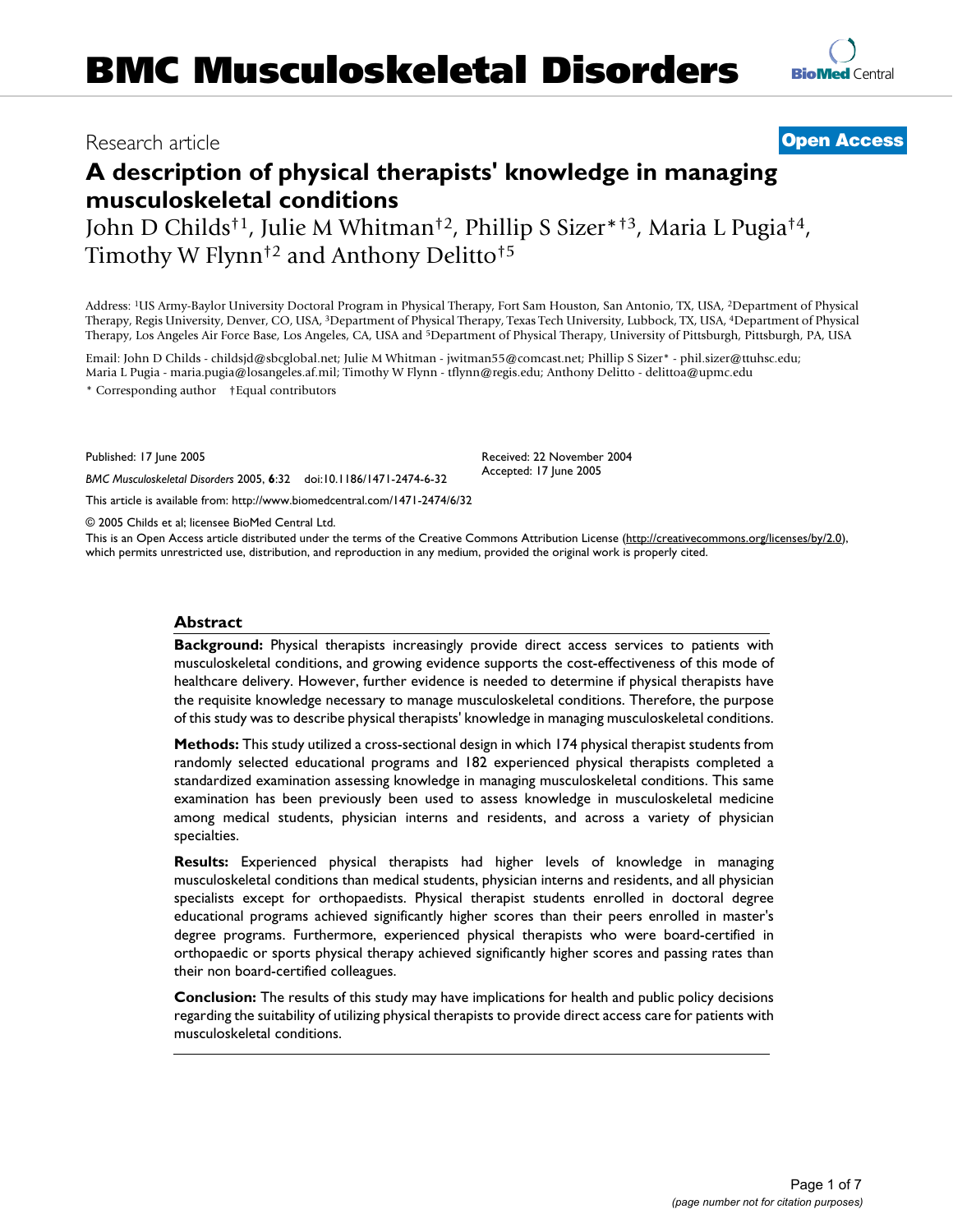## Research article **[Open Access](http://www.biomedcentral.com/info/about/charter/)**

# **A description of physical therapists' knowledge in managing musculoskeletal conditions**

John D Childs†1, Julie M Whitman†2, Phillip S Sizer\*†3, Maria L Pugia†4, Timothy W Flynn†2 and Anthony Delitto†5

Address: 1US Army-Baylor University Doctoral Program in Physical Therapy, Fort Sam Houston, San Antonio, TX, USA, 2Department of Physical Therapy, Regis University, Denver, CO, USA, 3Department of Physical Therapy, Texas Tech University, Lubbock, TX, USA, 4Department of Physical Therapy, Los Angeles Air Force Base, Los Angeles, CA, USA and 5Department of Physical Therapy, University of Pittsburgh, Pittsburgh, PA, USA

Email: John D Childs - childsjd@sbcglobal.net; Julie M Whitman - jwitman55@comcast.net; Phillip S Sizer\* - phil.sizer@ttuhsc.edu; Maria L Pugia - maria.pugia@losangeles.af.mil; Timothy W Flynn - tflynn@regis.edu; Anthony Delitto - delittoa@upmc.edu \* Corresponding author †Equal contributors

Published: 17 June 2005

*BMC Musculoskeletal Disorders* 2005, **6**:32 doi:10.1186/1471-2474-6-32

[This article is available from: http://www.biomedcentral.com/1471-2474/6/32](http://www.biomedcentral.com/1471-2474/6/32)

© 2005 Childs et al; licensee BioMed Central Ltd.

This is an Open Access article distributed under the terms of the Creative Commons Attribution License [\(http://creativecommons.org/licenses/by/2.0\)](http://creativecommons.org/licenses/by/2.0), which permits unrestricted use, distribution, and reproduction in any medium, provided the original work is properly cited.

Received: 22 November 2004 Accepted: 17 June 2005

#### **Abstract**

**Background:** Physical therapists increasingly provide direct access services to patients with musculoskeletal conditions, and growing evidence supports the cost-effectiveness of this mode of healthcare delivery. However, further evidence is needed to determine if physical therapists have the requisite knowledge necessary to manage musculoskeletal conditions. Therefore, the purpose of this study was to describe physical therapists' knowledge in managing musculoskeletal conditions.

**Methods:** This study utilized a cross-sectional design in which 174 physical therapist students from randomly selected educational programs and 182 experienced physical therapists completed a standardized examination assessing knowledge in managing musculoskeletal conditions. This same examination has been previously been used to assess knowledge in musculoskeletal medicine among medical students, physician interns and residents, and across a variety of physician specialties.

**Results:** Experienced physical therapists had higher levels of knowledge in managing musculoskeletal conditions than medical students, physician interns and residents, and all physician specialists except for orthopaedists. Physical therapist students enrolled in doctoral degree educational programs achieved significantly higher scores than their peers enrolled in master's degree programs. Furthermore, experienced physical therapists who were board-certified in orthopaedic or sports physical therapy achieved significantly higher scores and passing rates than their non board-certified colleagues.

**Conclusion:** The results of this study may have implications for health and public policy decisions regarding the suitability of utilizing physical therapists to provide direct access care for patients with musculoskeletal conditions.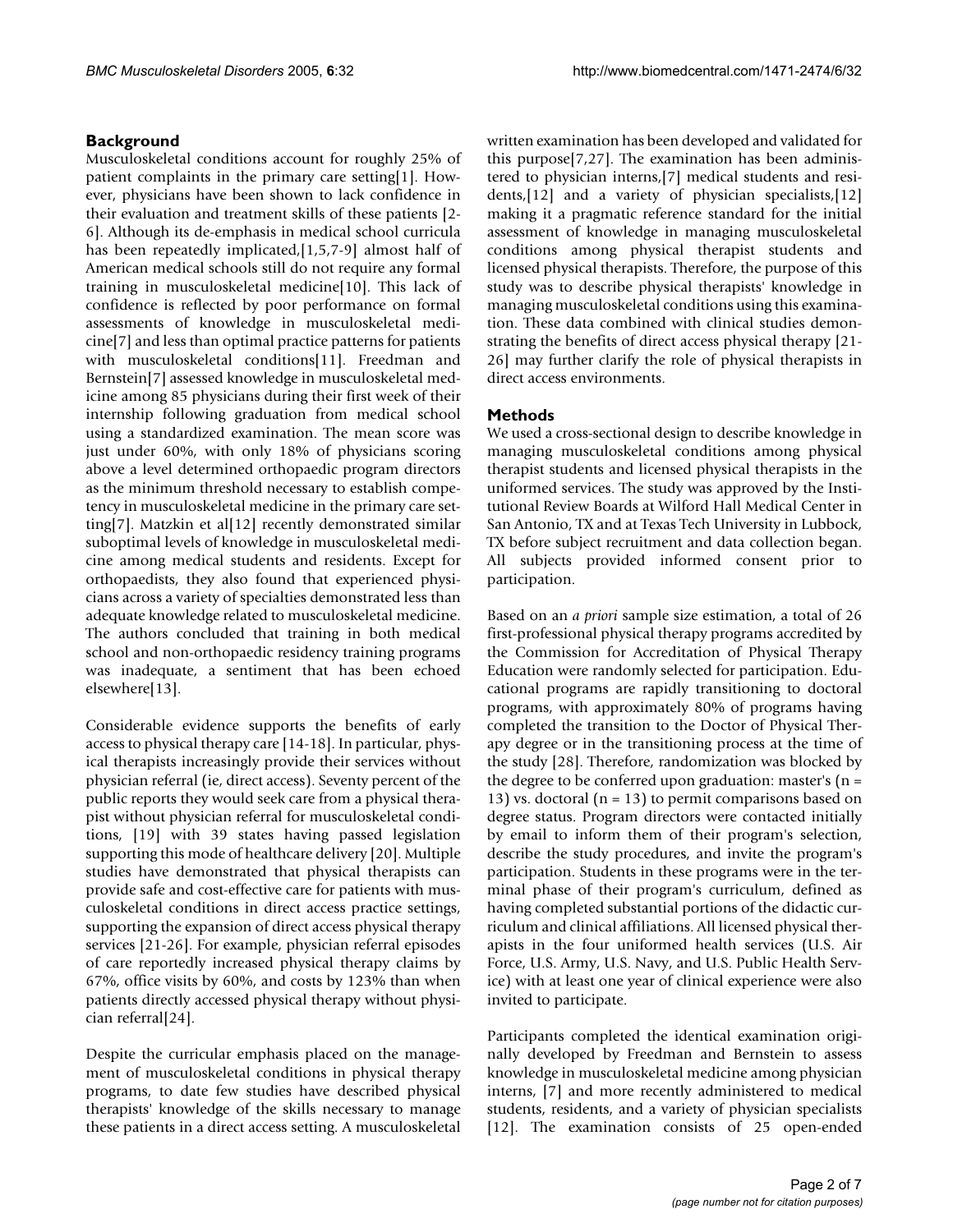#### **Background**

Musculoskeletal conditions account for roughly 25% of patient complaints in the primary care setting[1]. However, physicians have been shown to lack confidence in their evaluation and treatment skills of these patients [2- 6]. Although its de-emphasis in medical school curricula has been repeatedly implicated,[1,5,7-9] almost half of American medical schools still do not require any formal training in musculoskeletal medicine[10]. This lack of confidence is reflected by poor performance on formal assessments of knowledge in musculoskeletal medicine[7] and less than optimal practice patterns for patients with musculoskeletal conditions[11]. Freedman and Bernstein[7] assessed knowledge in musculoskeletal medicine among 85 physicians during their first week of their internship following graduation from medical school using a standardized examination. The mean score was just under 60%, with only 18% of physicians scoring above a level determined orthopaedic program directors as the minimum threshold necessary to establish competency in musculoskeletal medicine in the primary care setting[7]. Matzkin et al[12] recently demonstrated similar suboptimal levels of knowledge in musculoskeletal medicine among medical students and residents. Except for orthopaedists, they also found that experienced physicians across a variety of specialties demonstrated less than adequate knowledge related to musculoskeletal medicine. The authors concluded that training in both medical school and non-orthopaedic residency training programs was inadequate, a sentiment that has been echoed elsewhere[13].

Considerable evidence supports the benefits of early access to physical therapy care [14-18]. In particular, physical therapists increasingly provide their services without physician referral (ie, direct access). Seventy percent of the public reports they would seek care from a physical therapist without physician referral for musculoskeletal conditions, [19] with 39 states having passed legislation supporting this mode of healthcare delivery [20]. Multiple studies have demonstrated that physical therapists can provide safe and cost-effective care for patients with musculoskeletal conditions in direct access practice settings, supporting the expansion of direct access physical therapy services [21-26]. For example, physician referral episodes of care reportedly increased physical therapy claims by 67%, office visits by 60%, and costs by 123% than when patients directly accessed physical therapy without physician referral[24].

Despite the curricular emphasis placed on the management of musculoskeletal conditions in physical therapy programs, to date few studies have described physical therapists' knowledge of the skills necessary to manage these patients in a direct access setting. A musculoskeletal

written examination has been developed and validated for this purpose[7,27]. The examination has been administered to physician interns,[7] medical students and residents,[12] and a variety of physician specialists,[12] making it a pragmatic reference standard for the initial assessment of knowledge in managing musculoskeletal conditions among physical therapist students and licensed physical therapists. Therefore, the purpose of this study was to describe physical therapists' knowledge in managing musculoskeletal conditions using this examination. These data combined with clinical studies demonstrating the benefits of direct access physical therapy [21- 26] may further clarify the role of physical therapists in direct access environments.

#### **Methods**

We used a cross-sectional design to describe knowledge in managing musculoskeletal conditions among physical therapist students and licensed physical therapists in the uniformed services. The study was approved by the Institutional Review Boards at Wilford Hall Medical Center in San Antonio, TX and at Texas Tech University in Lubbock, TX before subject recruitment and data collection began. All subjects provided informed consent prior to participation.

Based on an *a priori* sample size estimation, a total of 26 first-professional physical therapy programs accredited by the Commission for Accreditation of Physical Therapy Education were randomly selected for participation. Educational programs are rapidly transitioning to doctoral programs, with approximately 80% of programs having completed the transition to the Doctor of Physical Therapy degree or in the transitioning process at the time of the study [28]. Therefore, randomization was blocked by the degree to be conferred upon graduation: master's  $(n =$ 13) vs. doctoral (n = 13) to permit comparisons based on degree status. Program directors were contacted initially by email to inform them of their program's selection, describe the study procedures, and invite the program's participation. Students in these programs were in the terminal phase of their program's curriculum, defined as having completed substantial portions of the didactic curriculum and clinical affiliations. All licensed physical therapists in the four uniformed health services (U.S. Air Force, U.S. Army, U.S. Navy, and U.S. Public Health Service) with at least one year of clinical experience were also invited to participate.

Participants completed the identical examination originally developed by Freedman and Bernstein to assess knowledge in musculoskeletal medicine among physician interns, [7] and more recently administered to medical students, residents, and a variety of physician specialists [12]. The examination consists of 25 open-ended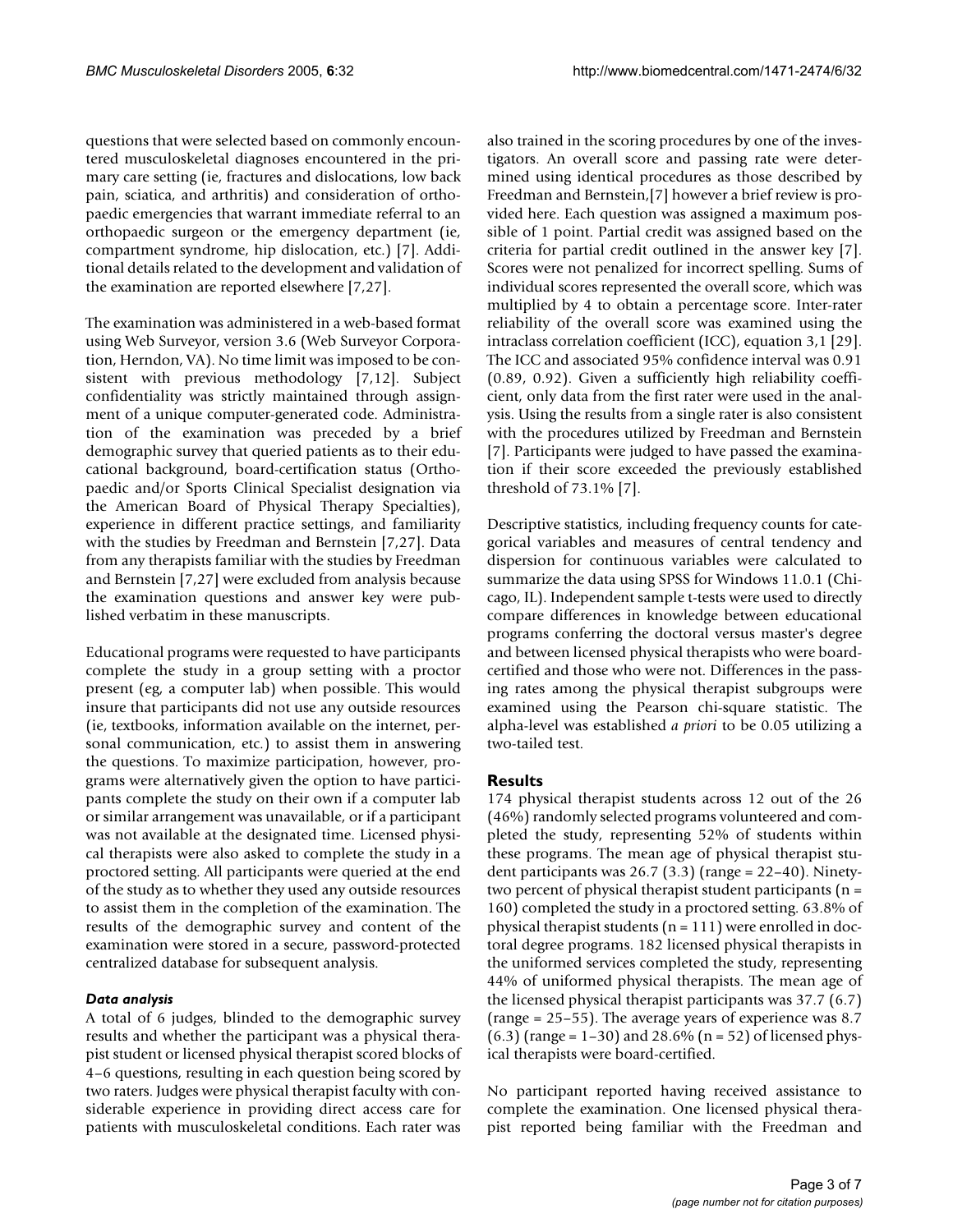questions that were selected based on commonly encountered musculoskeletal diagnoses encountered in the primary care setting (ie, fractures and dislocations, low back pain, sciatica, and arthritis) and consideration of orthopaedic emergencies that warrant immediate referral to an orthopaedic surgeon or the emergency department (ie, compartment syndrome, hip dislocation, etc.) [7]. Additional details related to the development and validation of the examination are reported elsewhere [7,27].

The examination was administered in a web-based format using Web Surveyor, version 3.6 (Web Surveyor Corporation, Herndon, VA). No time limit was imposed to be consistent with previous methodology [7,12]. Subject confidentiality was strictly maintained through assignment of a unique computer-generated code. Administration of the examination was preceded by a brief demographic survey that queried patients as to their educational background, board-certification status (Orthopaedic and/or Sports Clinical Specialist designation via the American Board of Physical Therapy Specialties), experience in different practice settings, and familiarity with the studies by Freedman and Bernstein [7,27]. Data from any therapists familiar with the studies by Freedman and Bernstein [7,27] were excluded from analysis because the examination questions and answer key were published verbatim in these manuscripts.

Educational programs were requested to have participants complete the study in a group setting with a proctor present (eg, a computer lab) when possible. This would insure that participants did not use any outside resources (ie, textbooks, information available on the internet, personal communication, etc.) to assist them in answering the questions. To maximize participation, however, programs were alternatively given the option to have participants complete the study on their own if a computer lab or similar arrangement was unavailable, or if a participant was not available at the designated time. Licensed physical therapists were also asked to complete the study in a proctored setting. All participants were queried at the end of the study as to whether they used any outside resources to assist them in the completion of the examination. The results of the demographic survey and content of the examination were stored in a secure, password-protected centralized database for subsequent analysis.

#### *Data analysis*

A total of 6 judges, blinded to the demographic survey results and whether the participant was a physical therapist student or licensed physical therapist scored blocks of 4–6 questions, resulting in each question being scored by two raters. Judges were physical therapist faculty with considerable experience in providing direct access care for patients with musculoskeletal conditions. Each rater was

also trained in the scoring procedures by one of the investigators. An overall score and passing rate were determined using identical procedures as those described by Freedman and Bernstein,[7] however a brief review is provided here. Each question was assigned a maximum possible of 1 point. Partial credit was assigned based on the criteria for partial credit outlined in the answer key [7]. Scores were not penalized for incorrect spelling. Sums of individual scores represented the overall score, which was multiplied by 4 to obtain a percentage score. Inter-rater reliability of the overall score was examined using the intraclass correlation coefficient (ICC), equation 3,1 [29]. The ICC and associated 95% confidence interval was 0.91 (0.89, 0.92). Given a sufficiently high reliability coefficient, only data from the first rater were used in the analysis. Using the results from a single rater is also consistent with the procedures utilized by Freedman and Bernstein [7]. Participants were judged to have passed the examination if their score exceeded the previously established threshold of 73.1% [7].

Descriptive statistics, including frequency counts for categorical variables and measures of central tendency and dispersion for continuous variables were calculated to summarize the data using SPSS for Windows 11.0.1 (Chicago, IL). Independent sample t-tests were used to directly compare differences in knowledge between educational programs conferring the doctoral versus master's degree and between licensed physical therapists who were boardcertified and those who were not. Differences in the passing rates among the physical therapist subgroups were examined using the Pearson chi-square statistic. The alpha-level was established *a priori* to be 0.05 utilizing a two-tailed test.

#### **Results**

174 physical therapist students across 12 out of the 26 (46%) randomly selected programs volunteered and completed the study, representing 52% of students within these programs. The mean age of physical therapist student participants was 26.7 (3.3) (range = 22–40). Ninetytwo percent of physical therapist student participants (n = 160) completed the study in a proctored setting. 63.8% of physical therapist students ( $n = 111$ ) were enrolled in doctoral degree programs. 182 licensed physical therapists in the uniformed services completed the study, representing 44% of uniformed physical therapists. The mean age of the licensed physical therapist participants was 37.7 (6.7) (range = 25–55). The average years of experience was 8.7 (6.3) (range =  $1-30$ ) and  $28.6%$  (n = 52) of licensed physical therapists were board-certified.

No participant reported having received assistance to complete the examination. One licensed physical therapist reported being familiar with the Freedman and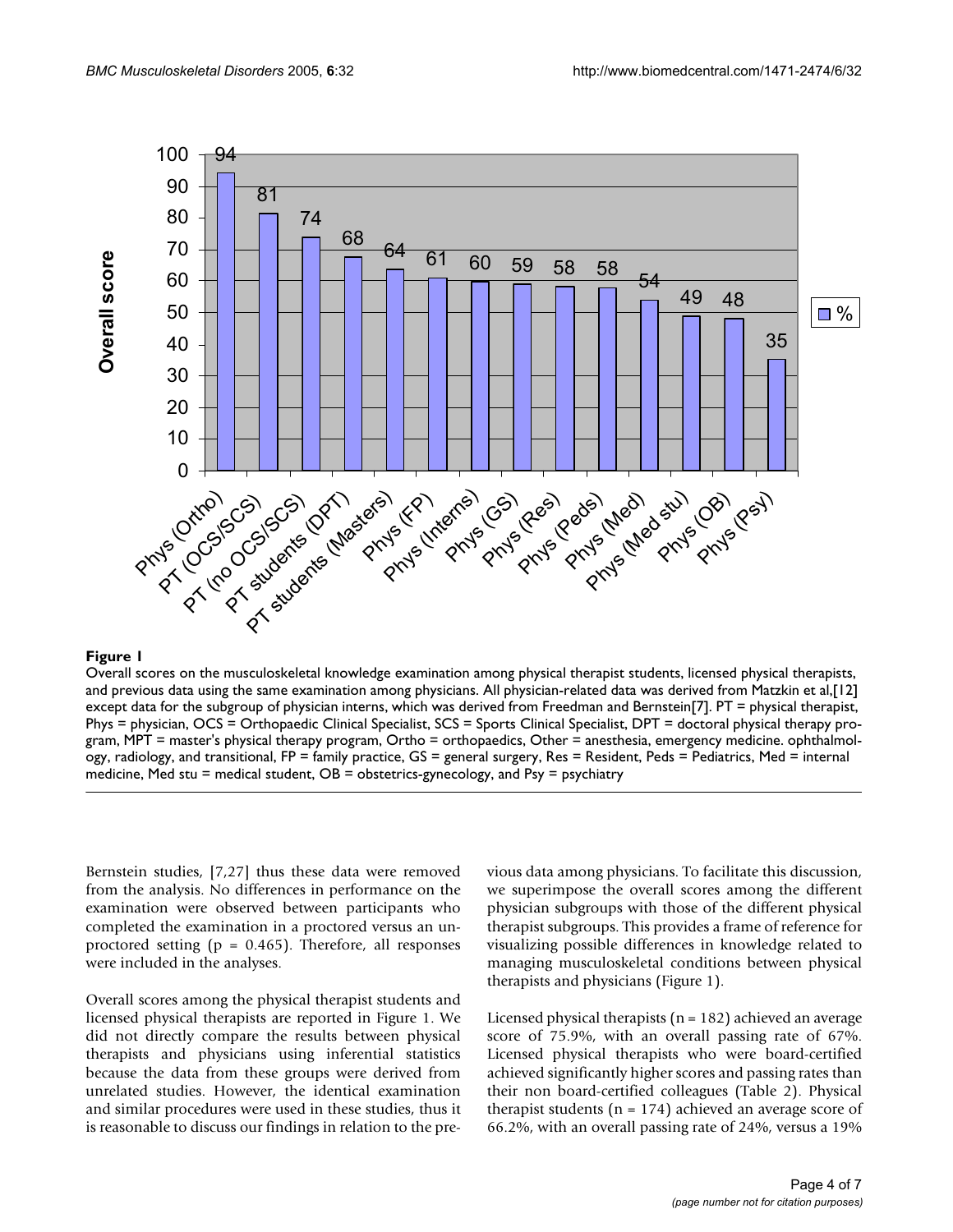

#### Overall scores on the musculoskeletal kno and previous data using the same examination among physicians **Figure 1** wledge examination among physical therapist students, licensed physical therapists,

Overall scores on the musculoskeletal knowledge examination among physical therapist students, licensed physical therapists, and previous data using the same examination among physicians. All physician-related data was derived from Matzkin et al,[12] except data for the subgroup of physician interns, which was derived from Freedman and Bernstein[7]. PT = physical therapist, Phys = physician, OCS = Orthopaedic Clinical Specialist, SCS = Sports Clinical Specialist, DPT = doctoral physical therapy program, MPT = master's physical therapy program, Ortho = orthopaedics, Other = anesthesia, emergency medicine. ophthalmology, radiology, and transitional, FP = family practice, GS = general surgery, Res = Resident, Peds = Pediatrics, Med = internal medicine, Med stu = medical student,  $OB =$  obstetrics-gynecology, and Psy = psychiatry

Bernstein studies, [7,27] thus these data were removed from the analysis. No differences in performance on the examination were observed between participants who completed the examination in a proctored versus an unproctored setting ( $p = 0.465$ ). Therefore, all responses were included in the analyses.

Overall scores among the physical therapist students and licensed physical therapists are reported in Figure 1. We did not directly compare the results between physical therapists and physicians using inferential statistics because the data from these groups were derived from unrelated studies. However, the identical examination and similar procedures were used in these studies, thus it is reasonable to discuss our findings in relation to the previous data among physicians. To facilitate this discussion, we superimpose the overall scores among the different physician subgroups with those of the different physical therapist subgroups. This provides a frame of reference for visualizing possible differences in knowledge related to managing musculoskeletal conditions between physical therapists and physicians (Figure 1).

Licensed physical therapists ( $n = 182$ ) achieved an average score of 75.9%, with an overall passing rate of 67%. Licensed physical therapists who were board-certified achieved significantly higher scores and passing rates than their non board-certified colleagues (Table [2\)](#page-4-0). Physical therapist students ( $n = 174$ ) achieved an average score of 66.2%, with an overall passing rate of 24%, versus a 19%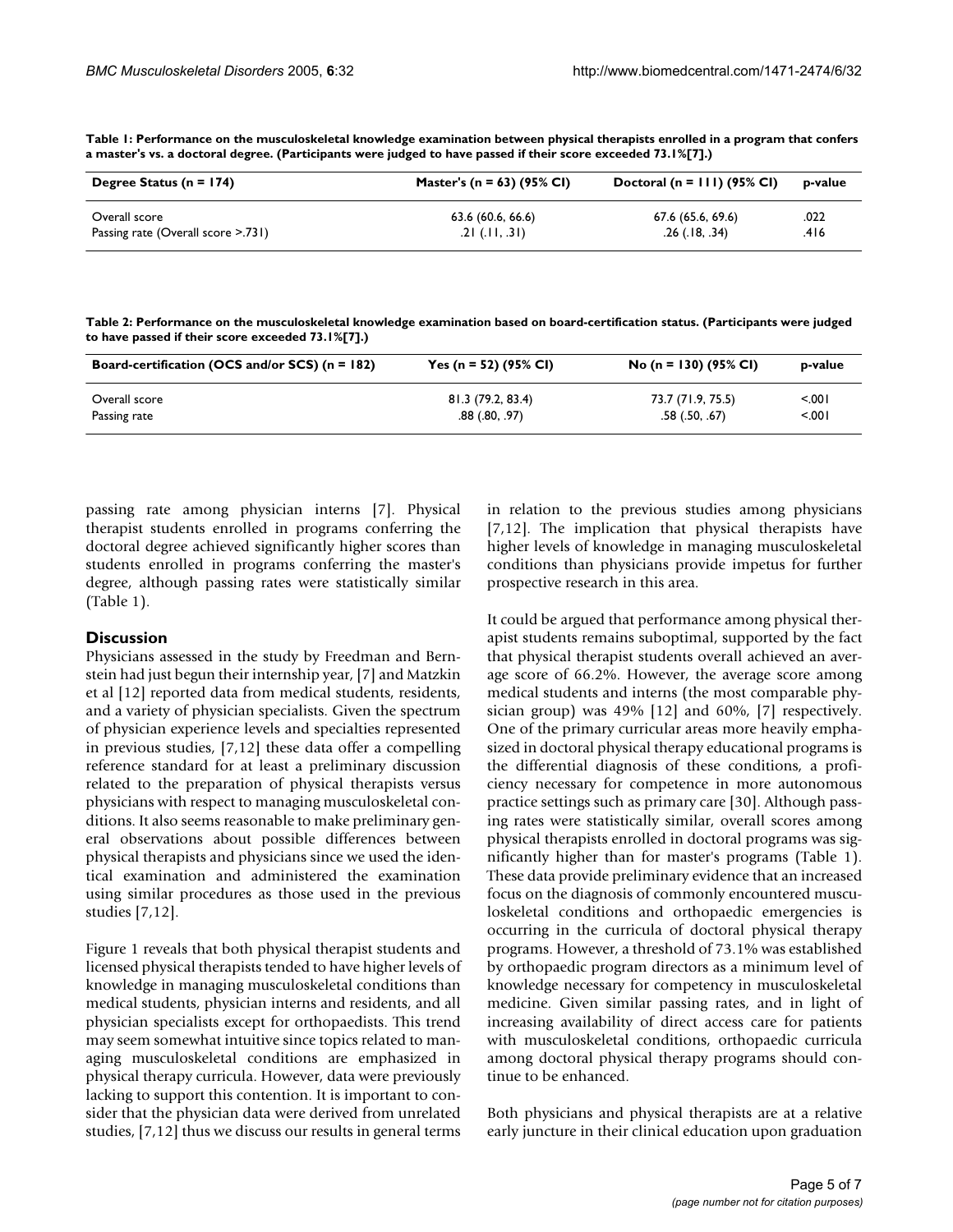<span id="page-4-1"></span>

| Table 1: Performance on the musculoskeletal knowledge examination between physical therapists enrolled in a program that confers |
|----------------------------------------------------------------------------------------------------------------------------------|
| a master's vs. a doctoral degree. (Participants were judged to have passed if their score exceeded 73.1%[7].)                    |

| Degree Status ( $n = 174$ )        | Master's ( $n = 63$ ) (95% CI) | Doctoral (n = 111) (95% CI) | p-value |
|------------------------------------|--------------------------------|-----------------------------|---------|
| Overall score                      | 63.6(60.6, 66.6)               | 67.6 (65.6, 69.6)           | .022    |
| Passing rate (Overall score >.731) | $.21$ (.11, .31)               | $.26$ (.18, .34)            | .416    |

<span id="page-4-0"></span>**Table 2: Performance on the musculoskeletal knowledge examination based on board-certification status. (Participants were judged to have passed if their score exceeded 73.1%[7].)**

| Board-certification (OCS and/or SCS) (n = 182) | Yes (n = 52) (95% CI) | No (n = 130) (95% CI) | p-value |
|------------------------------------------------|-----------------------|-----------------------|---------|
| Overall score                                  | 81.3 (79.2, 83.4)     | 73.7 (71.9, 75.5)     | < 001   |
| Passing rate                                   | $.88$ $(.80, .97)$    | $.58$ $(.50, .67)$    | < 001   |

passing rate among physician interns [7]. Physical therapist students enrolled in programs conferring the doctoral degree achieved significantly higher scores than students enrolled in programs conferring the master's degree, although passing rates were statistically similar (Table [1\)](#page-4-1).

#### **Discussion**

Physicians assessed in the study by Freedman and Bernstein had just begun their internship year, [7] and Matzkin et al [12] reported data from medical students, residents, and a variety of physician specialists. Given the spectrum of physician experience levels and specialties represented in previous studies, [7,12] these data offer a compelling reference standard for at least a preliminary discussion related to the preparation of physical therapists versus physicians with respect to managing musculoskeletal conditions. It also seems reasonable to make preliminary general observations about possible differences between physical therapists and physicians since we used the identical examination and administered the examination using similar procedures as those used in the previous studies [7,12].

Figure 1 reveals that both physical therapist students and licensed physical therapists tended to have higher levels of knowledge in managing musculoskeletal conditions than medical students, physician interns and residents, and all physician specialists except for orthopaedists. This trend may seem somewhat intuitive since topics related to managing musculoskeletal conditions are emphasized in physical therapy curricula. However, data were previously lacking to support this contention. It is important to consider that the physician data were derived from unrelated studies, [7,12] thus we discuss our results in general terms in relation to the previous studies among physicians [7,12]. The implication that physical therapists have higher levels of knowledge in managing musculoskeletal conditions than physicians provide impetus for further prospective research in this area.

It could be argued that performance among physical therapist students remains suboptimal, supported by the fact that physical therapist students overall achieved an average score of 66.2%. However, the average score among medical students and interns (the most comparable physician group) was 49% [12] and 60%, [7] respectively. One of the primary curricular areas more heavily emphasized in doctoral physical therapy educational programs is the differential diagnosis of these conditions, a proficiency necessary for competence in more autonomous practice settings such as primary care [30]. Although passing rates were statistically similar, overall scores among physical therapists enrolled in doctoral programs was significantly higher than for master's programs (Table [1\)](#page-4-1). These data provide preliminary evidence that an increased focus on the diagnosis of commonly encountered musculoskeletal conditions and orthopaedic emergencies is occurring in the curricula of doctoral physical therapy programs. However, a threshold of 73.1% was established by orthopaedic program directors as a minimum level of knowledge necessary for competency in musculoskeletal medicine. Given similar passing rates, and in light of increasing availability of direct access care for patients with musculoskeletal conditions, orthopaedic curricula among doctoral physical therapy programs should continue to be enhanced.

Both physicians and physical therapists are at a relative early juncture in their clinical education upon graduation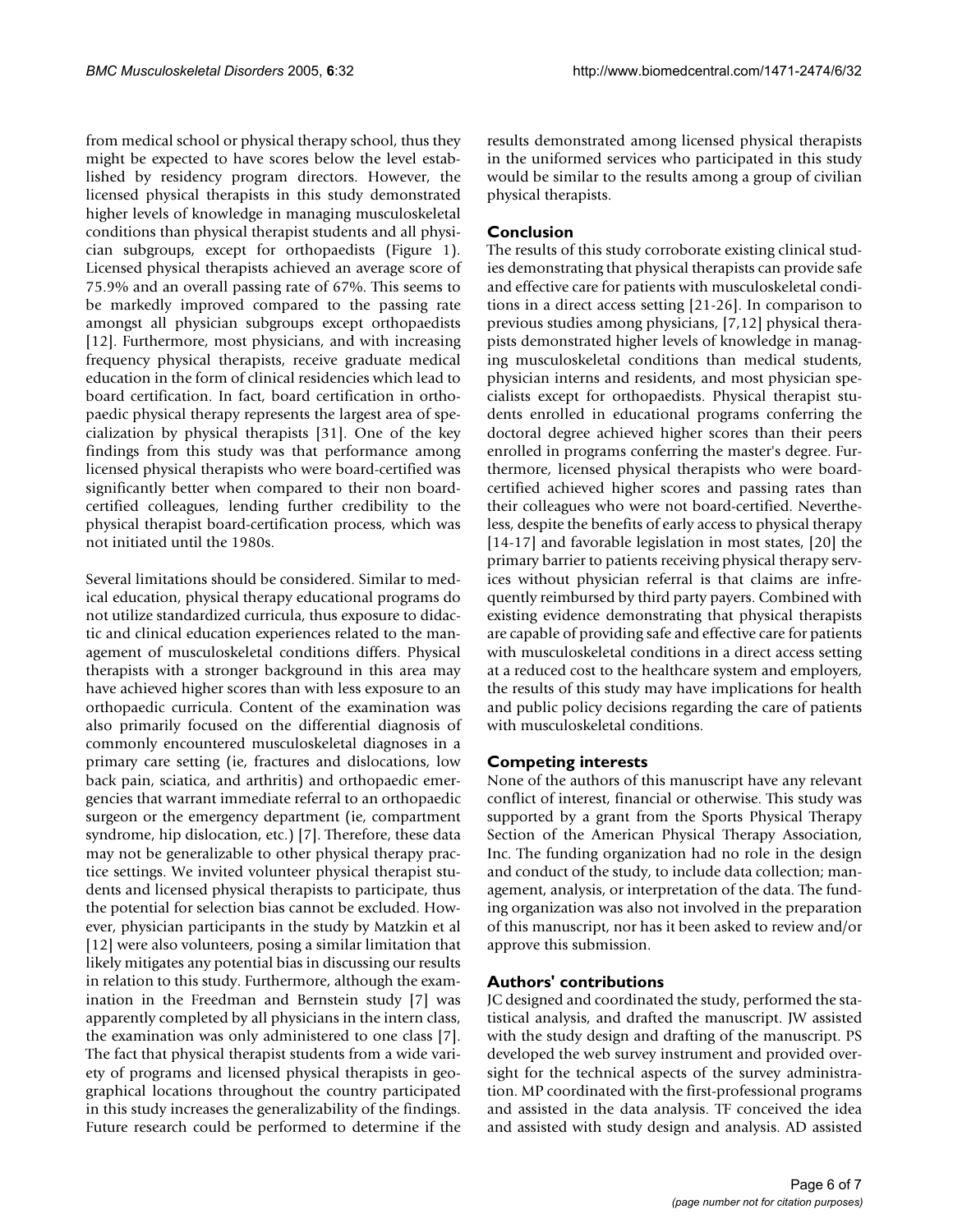from medical school or physical therapy school, thus they might be expected to have scores below the level established by residency program directors. However, the licensed physical therapists in this study demonstrated higher levels of knowledge in managing musculoskeletal conditions than physical therapist students and all physician subgroups, except for orthopaedists (Figure 1). Licensed physical therapists achieved an average score of 75.9% and an overall passing rate of 67%. This seems to be markedly improved compared to the passing rate amongst all physician subgroups except orthopaedists [12]. Furthermore, most physicians, and with increasing frequency physical therapists, receive graduate medical education in the form of clinical residencies which lead to board certification. In fact, board certification in orthopaedic physical therapy represents the largest area of specialization by physical therapists [31]. One of the key findings from this study was that performance among licensed physical therapists who were board-certified was significantly better when compared to their non boardcertified colleagues, lending further credibility to the physical therapist board-certification process, which was not initiated until the 1980s.

Several limitations should be considered. Similar to medical education, physical therapy educational programs do not utilize standardized curricula, thus exposure to didactic and clinical education experiences related to the management of musculoskeletal conditions differs. Physical therapists with a stronger background in this area may have achieved higher scores than with less exposure to an orthopaedic curricula. Content of the examination was also primarily focused on the differential diagnosis of commonly encountered musculoskeletal diagnoses in a primary care setting (ie, fractures and dislocations, low back pain, sciatica, and arthritis) and orthopaedic emergencies that warrant immediate referral to an orthopaedic surgeon or the emergency department (ie, compartment syndrome, hip dislocation, etc.) [7]. Therefore, these data may not be generalizable to other physical therapy practice settings. We invited volunteer physical therapist students and licensed physical therapists to participate, thus the potential for selection bias cannot be excluded. However, physician participants in the study by Matzkin et al [12] were also volunteers, posing a similar limitation that likely mitigates any potential bias in discussing our results in relation to this study. Furthermore, although the examination in the Freedman and Bernstein study [7] was apparently completed by all physicians in the intern class, the examination was only administered to one class [7]. The fact that physical therapist students from a wide variety of programs and licensed physical therapists in geographical locations throughout the country participated in this study increases the generalizability of the findings. Future research could be performed to determine if the results demonstrated among licensed physical therapists in the uniformed services who participated in this study would be similar to the results among a group of civilian physical therapists.

## **Conclusion**

The results of this study corroborate existing clinical studies demonstrating that physical therapists can provide safe and effective care for patients with musculoskeletal conditions in a direct access setting [21-26]. In comparison to previous studies among physicians, [7,12] physical therapists demonstrated higher levels of knowledge in managing musculoskeletal conditions than medical students, physician interns and residents, and most physician specialists except for orthopaedists. Physical therapist students enrolled in educational programs conferring the doctoral degree achieved higher scores than their peers enrolled in programs conferring the master's degree. Furthermore, licensed physical therapists who were boardcertified achieved higher scores and passing rates than their colleagues who were not board-certified. Nevertheless, despite the benefits of early access to physical therapy [14-17] and favorable legislation in most states, [20] the primary barrier to patients receiving physical therapy services without physician referral is that claims are infrequently reimbursed by third party payers. Combined with existing evidence demonstrating that physical therapists are capable of providing safe and effective care for patients with musculoskeletal conditions in a direct access setting at a reduced cost to the healthcare system and employers, the results of this study may have implications for health and public policy decisions regarding the care of patients with musculoskeletal conditions.

## **Competing interests**

None of the authors of this manuscript have any relevant conflict of interest, financial or otherwise. This study was supported by a grant from the Sports Physical Therapy Section of the American Physical Therapy Association, Inc. The funding organization had no role in the design and conduct of the study, to include data collection; management, analysis, or interpretation of the data. The funding organization was also not involved in the preparation of this manuscript, nor has it been asked to review and/or approve this submission.

## **Authors' contributions**

JC designed and coordinated the study, performed the statistical analysis, and drafted the manuscript. JW assisted with the study design and drafting of the manuscript. PS developed the web survey instrument and provided oversight for the technical aspects of the survey administration. MP coordinated with the first-professional programs and assisted in the data analysis. TF conceived the idea and assisted with study design and analysis. AD assisted